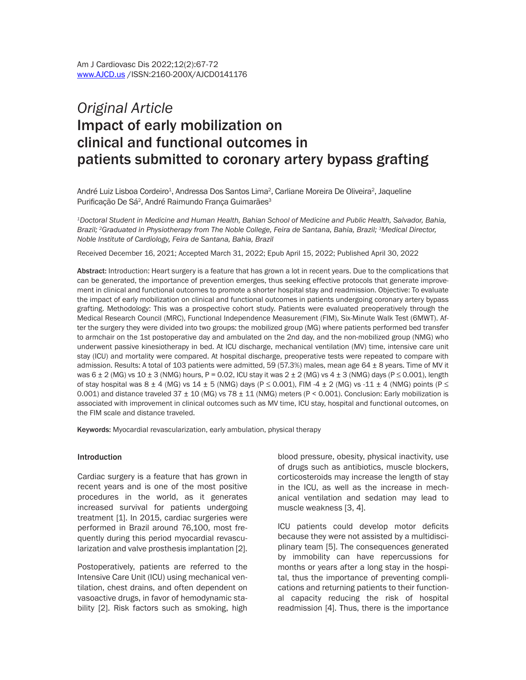# *Original Article* Impact of early mobilization on clinical and functional outcomes in patients submitted to coronary artery bypass grafting

André Luiz Lisboa Cordeiro<sup>1</sup>, Andressa Dos Santos Lima<sup>2</sup>, Carliane Moreira De Oliveira<sup>2</sup>, Jaqueline Purificação De Sá<sup>2</sup>, André Raimundo França Guimarães<sup>3</sup>

*1Doctoral Student in Medicine and Human Health, Bahian School of Medicine and Public Health, Salvador, Bahia, Brazil; <sup>2</sup>Graduated in Physiotherapy from The Noble College, Feira de Santana, Bahia, Brazil; <sup>3</sup>Medical Director, Noble Institute of Cardiology, Feira de Santana, Bahia, Brazil*

Received December 16, 2021; Accepted March 31, 2022; Epub April 15, 2022; Published April 30, 2022

Abstract: Introduction: Heart surgery is a feature that has grown a lot in recent years. Due to the complications that can be generated, the importance of prevention emerges, thus seeking effective protocols that generate improvement in clinical and functional outcomes to promote a shorter hospital stay and readmission. Objective: To evaluate the impact of early mobilization on clinical and functional outcomes in patients undergoing coronary artery bypass grafting. Methodology: This was a prospective cohort study. Patients were evaluated preoperatively through the Medical Research Council (MRC), Functional Independence Measurement (FIM), Six-Minute Walk Test (6MWT). After the surgery they were divided into two groups: the mobilized group (MG) where patients performed bed transfer to armchair on the 1st postoperative day and ambulated on the 2nd day, and the non-mobilized group (NMG) who underwent passive kinesiotherapy in bed. At ICU discharge, mechanical ventilation (MV) time, intensive care unit stay (ICU) and mortality were compared. At hospital discharge, preoperative tests were repeated to compare with admission. Results: A total of 103 patients were admitted, 59 (57.3%) males, mean age  $64 \pm 8$  years. Time of MV it was  $6 \pm 2$  (MG) vs 10  $\pm 3$  (NMG) hours, P = 0.02, ICU stay it was  $2 \pm 2$  (MG) vs  $4 \pm 3$  (NMG) days (P  $\leq$  0.001), length of stay hospital was  $8 \pm 4$  (MG) vs  $14 \pm 5$  (NMG) days (P  $\leq$  0.001), FIM  $-4 \pm 2$  (MG) vs  $-11 \pm 4$  (NMG) points (P  $\leq$ 0.001) and distance traveled  $37 \pm 10$  (MG) vs  $78 \pm 11$  (NMG) meters (P < 0.001). Conclusion: Early mobilization is associated with improvement in clinical outcomes such as MV time, ICU stay, hospital and functional outcomes, on the FIM scale and distance traveled.

Keywords: Myocardial revascularization, early ambulation, physical therapy

#### Introduction

Cardiac surgery is a feature that has grown in recent years and is one of the most positive procedures in the world, as it generates increased survival for patients undergoing treatment [1]. In 2015, cardiac surgeries were performed in Brazil around 76,100, most frequently during this period myocardial revascularization and valve prosthesis implantation [2].

Postoperatively, patients are referred to the Intensive Care Unit (ICU) using mechanical ventilation, chest drains, and often dependent on vasoactive drugs, in favor of hemodynamic stability [2]. Risk factors such as smoking, high

blood pressure, obesity, physical inactivity, use of drugs such as antibiotics, muscle blockers, corticosteroids may increase the length of stay in the ICU, as well as the increase in mechanical ventilation and sedation may lead to muscle weakness [3, 4].

ICU patients could develop motor deficits because they were not assisted by a multidisciplinary team [5]. The consequences generated by immobility can have repercussions for months or years after a long stay in the hospital, thus the importance of preventing complications and returning patients to their functional capacity reducing the risk of hospital readmission [4]. Thus, there is the importance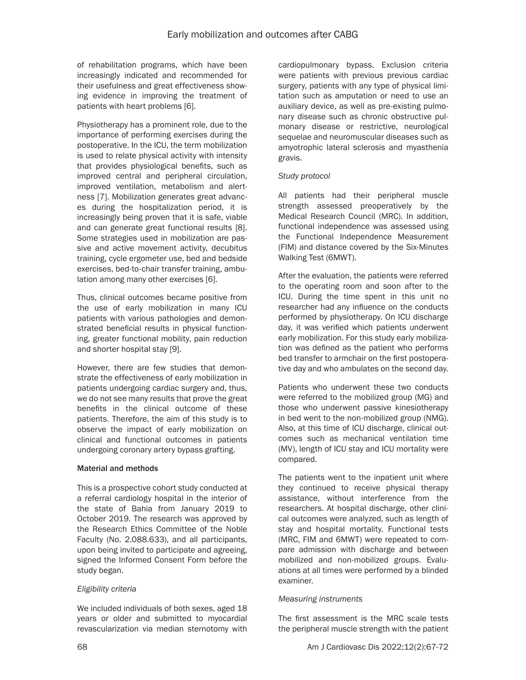of rehabilitation programs, which have been increasingly indicated and recommended for their usefulness and great effectiveness showing evidence in improving the treatment of patients with heart problems [6].

Physiotherapy has a prominent role, due to the importance of performing exercises during the postoperative. In the ICU, the term mobilization is used to relate physical activity with intensity that provides physiological benefits, such as improved central and peripheral circulation, improved ventilation, metabolism and alertness [7]. Mobilization generates great advances during the hospitalization period, it is increasingly being proven that it is safe, viable and can generate great functional results [8]. Some strategies used in mobilization are passive and active movement activity, decubitus training, cycle ergometer use, bed and bedside exercises, bed-to-chair transfer training, ambulation among many other exercises [6].

Thus, clinical outcomes became positive from the use of early mobilization in many ICU patients with various pathologies and demonstrated beneficial results in physical functioning, greater functional mobility, pain reduction and shorter hospital stay [9].

However, there are few studies that demonstrate the effectiveness of early mobilization in patients undergoing cardiac surgery and, thus, we do not see many results that prove the great benefits in the clinical outcome of these patients. Therefore, the aim of this study is to observe the impact of early mobilization on clinical and functional outcomes in patients undergoing coronary artery bypass grafting.

## Material and methods

This is a prospective cohort study conducted at a referral cardiology hospital in the interior of the state of Bahia from January 2019 to October 2019. The research was approved by the Research Ethics Committee of the Noble Faculty (No. 2.088.633), and all participants, upon being invited to participate and agreeing, signed the Informed Consent Form before the study began.

## *Eligibility criteria*

We included individuals of both sexes, aged 18 years or older and submitted to myocardial revascularization via median sternotomy with cardiopulmonary bypass. Exclusion criteria were patients with previous previous cardiac surgery, patients with any type of physical limitation such as amputation or need to use an auxiliary device, as well as pre-existing pulmonary disease such as chronic obstructive pulmonary disease or restrictive, neurological sequelae and neuromuscular diseases such as amyotrophic lateral sclerosis and myasthenia gravis.

#### *Study protocol*

All patients had their peripheral muscle strength assessed preoperatively by the Medical Research Council (MRC). In addition, functional independence was assessed using the Functional Independence Measurement (FIM) and distance covered by the Six-Minutes Walking Test (6MWT).

After the evaluation, the patients were referred to the operating room and soon after to the ICU. During the time spent in this unit no researcher had any influence on the conducts performed by physiotherapy. On ICU discharge day, it was verified which patients underwent early mobilization. For this study early mobilization was defined as the patient who performs bed transfer to armchair on the first postoperative day and who ambulates on the second day.

Patients who underwent these two conducts were referred to the mobilized group (MG) and those who underwent passive kinesiotherapy in bed went to the non-mobilized group (NMG). Also, at this time of ICU discharge, clinical outcomes such as mechanical ventilation time (MV), length of ICU stay and ICU mortality were compared.

The patients went to the inpatient unit where they continued to receive physical therapy assistance, without interference from the researchers. At hospital discharge, other clinical outcomes were analyzed, such as length of stay and hospital mortality. Functional tests (MRC, FIM and 6MWT) were repeated to compare admission with discharge and between mobilized and non-mobilized groups. Evaluations at all times were performed by a blinded examiner.

## *Measuring instruments*

The first assessment is the MRC scale tests the peripheral muscle strength with the patient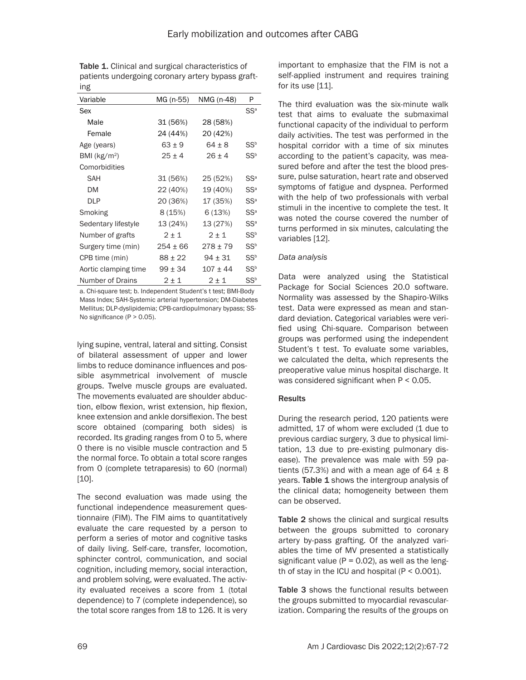| "ס                      |             |              |                 |
|-------------------------|-------------|--------------|-----------------|
| Variable                | MG (n-55)   | NMG (n-48)   | P               |
| Sex                     |             |              | $SS^a$          |
| Male                    | 31 (56%)    | 28 (58%)     |                 |
| Female                  | 24 (44%)    | 20 (42%)     |                 |
| Age (years)             | $63 + 9$    | $64 \pm 8$   | $SS^b$          |
| BMI ( $kg/m2$ )         | $25 \pm 4$  | $26 + 4$     | $SS^b$          |
| Comorbidities           |             |              |                 |
| SAH                     | 31 (56%)    | 25 (52%)     | $SS^a$          |
| DМ                      | 22 (40%)    | 19 (40%)     | SS <sup>a</sup> |
| DLP                     | 20 (36%)    | 17 (35%)     | $SS^a$          |
| Smoking                 | 8 (15%)     | 6(13%)       | $SS^a$          |
| Sedentary lifestyle     | 13 (24%)    | 13 (27%)     | $SS^a$          |
| Number of grafts        | $2 \pm 1$   | $2 \pm 1$    | $SS^b$          |
| Surgery time (min)      | 254 ± 66    | $278 \pm 79$ | SS <sup>b</sup> |
| CPB time (min)          | $88 \pm 22$ | $94 \pm 31$  | SS <sup>b</sup> |
| Aortic clamping time    | $99 \pm 34$ | $107 + 44$   | $SS^b$          |
| <b>Number of Drains</b> | 2 ± 1       | $2 \pm 1$    | $SS^b$          |

Table 1. Clinical and surgical characteristics of patients undergoing coronary artery bypass grafting

a. Chi-square test; b. Independent Student's t test; BMI-Body Mass Index; SAH-Systemic arterial hypertension; DM-Diabetes Mellitus; DLP-dyslipidemia; CPB-cardiopulmonary bypass; SS-No significance (P > 0.05).

lying supine, ventral, lateral and sitting. Consist of bilateral assessment of upper and lower limbs to reduce dominance influences and possible asymmetrical involvement of muscle groups. Twelve muscle groups are evaluated. The movements evaluated are shoulder abduction, elbow flexion, wrist extension, hip flexion, knee extension and ankle dorsiflexion. The best score obtained (comparing both sides) is recorded. Its grading ranges from 0 to 5, where 0 there is no visible muscle contraction and 5 the normal force. To obtain a total score ranges from 0 (complete tetraparesis) to 60 (normal) [10].

The second evaluation was made using the functional independence measurement questionnaire (FIM). The FIM aims to quantitatively evaluate the care requested by a person to perform a series of motor and cognitive tasks of daily living. Self-care, transfer, locomotion, sphincter control, communication, and social cognition, including memory, social interaction, and problem solving, were evaluated. The activity evaluated receives a score from 1 (total dependence) to 7 (complete independence), so the total score ranges from 18 to 126. It is very

important to emphasize that the FIM is not a self-applied instrument and requires training for its use [11].

The third evaluation was the six-minute walk test that aims to evaluate the submaximal functional capacity of the individual to perform daily activities. The test was performed in the hospital corridor with a time of six minutes according to the patient's capacity, was measured before and after the test the blood pressure, pulse saturation, heart rate and observed symptoms of fatigue and dyspnea. Performed with the help of two professionals with verbal stimuli in the incentive to complete the test. It was noted the course covered the number of turns performed in six minutes, calculating the variables [12].

## *Data analysis*

Data were analyzed using the Statistical Package for Social Sciences 20.0 software. Normality was assessed by the Shapiro-Wilks test. Data were expressed as mean and standard deviation. Categorical variables were verified using Chi-square. Comparison between groups was performed using the independent Student's t test. To evaluate some variables, we calculated the delta, which represents the preoperative value minus hospital discharge. It was considered significant when P < 0.05.

## **Results**

During the research period, 120 patients were admitted, 17 of whom were excluded (1 due to previous cardiac surgery, 3 due to physical limitation, 13 due to pre-existing pulmonary disease). The prevalence was male with 59 patients (57.3%) and with a mean age of  $64 \pm 8$ years. Table 1 shows the intergroup analysis of the clinical data; homogeneity between them can be observed.

Table 2 shows the clinical and surgical results between the groups submitted to coronary artery by-pass grafting. Of the analyzed variables the time of MV presented a statistically significant value ( $P = 0.02$ ), as well as the length of stay in the ICU and hospital  $(P < 0.001)$ .

Table 3 shows the functional results between the groups submitted to myocardial revascularization. Comparing the results of the groups on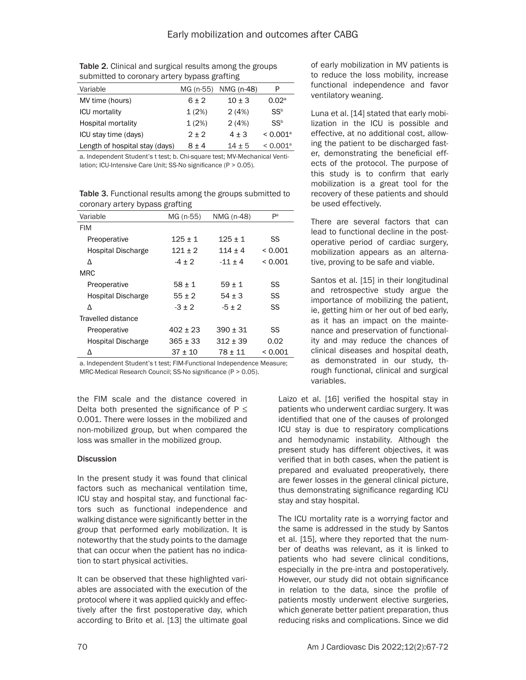| MG (n-55) | NMG (n-48) | P                      |  |  |  |
|-----------|------------|------------------------|--|--|--|
| $6 + 2$   | $10 + 3$   | 0.02 <sup>a</sup>      |  |  |  |
| 1(2%)     | 2(4%)      | $SS^b$                 |  |  |  |
| 1(2%)     | 2(4%)      | $SS^b$                 |  |  |  |
| $2 + 2$   | $4 + 3$    | $< 0.001$ <sup>a</sup> |  |  |  |
| $8 + 4$   | $14 \pm 5$ | $< 0.001$ <sup>a</sup> |  |  |  |
|           |            |                        |  |  |  |

Table 2. Clinical and surgical results among the groups submitted to coronary artery bypass grafting

a. Independent Student's t test; b. Chi-square test; MV-Mechanical Ventilation; ICU-Intensive Care Unit; SS-No significance (P > 0.05).

Table 3. Functional results among the groups submitted to coronary artery bypass grafting

| Variable                  | MG (n-55)  | NMG (n-48) | Pа      |
|---------------------------|------------|------------|---------|
| <b>FIM</b>                |            |            |         |
| Preoperative              | $125 + 1$  | $125 + 1$  | SS      |
| <b>Hospital Discharge</b> | $121 + 2$  | $114 + 4$  | < 0.001 |
| Δ                         | $-4 + 2$   | $-11 + 4$  | < 0.001 |
| <b>MRC</b>                |            |            |         |
| Preoperative              | $58 + 1$   | $59 + 1$   | SS      |
| <b>Hospital Discharge</b> | $55 + 2$   | $54 + 3$   | SS      |
| Λ                         | $-3 + 2$   | $-5 + 2$   | SS      |
| Travelled distance        |            |            |         |
| Preoperative              | $402 + 23$ | $390 + 31$ | SS      |
| <b>Hospital Discharge</b> | $365 + 33$ | $312 + 39$ | 0.02    |
| Δ                         | $37 + 10$  | 78 + 11    | < 0.001 |

a. Independent Student's t test; FIM-Functional Independence Measure; MRC-Medical Research Council; SS-No significance (P > 0.05).

the FIM scale and the distance covered in Delta both presented the significance of  $P \leq$ 0.001. There were losses in the mobilized and non-mobilized group, but when compared the loss was smaller in the mobilized group.

## **Discussion**

In the present study it was found that clinical factors such as mechanical ventilation time, ICU stay and hospital stay, and functional factors such as functional independence and walking distance were significantly better in the group that performed early mobilization. It is noteworthy that the study points to the damage that can occur when the patient has no indication to start physical activities.

It can be observed that these highlighted variables are associated with the execution of the protocol where it was applied quickly and effectively after the first postoperative day, which according to Brito et al. [13] the ultimate goal

of early mobilization in MV patients is to reduce the loss mobility, increase functional independence and favor ventilatory weaning.

Luna et al. [14] stated that early mobilization in the ICU is possible and effective, at no additional cost, allowing the patient to be discharged faster, demonstrating the beneficial effects of the protocol. The purpose of this study is to confirm that early mobilization is a great tool for the recovery of these patients and should be used effectively.

There are several factors that can lead to functional decline in the postoperative period of cardiac surgery, mobilization appears as an alternative, proving to be safe and viable.

Santos et al. [15] in their longitudinal and retrospective study argue the importance of mobilizing the patient, ie, getting him or her out of bed early, as it has an impact on the maintenance and preservation of functionality and may reduce the chances of clinical diseases and hospital death, as demonstrated in our study, through functional, clinical and surgical variables.

Laizo et al. [16] verified the hospital stay in patients who underwent cardiac surgery. It was identified that one of the causes of prolonged ICU stay is due to respiratory complications and hemodynamic instability. Although the present study has different objectives, it was verified that in both cases, when the patient is prepared and evaluated preoperatively, there are fewer losses in the general clinical picture, thus demonstrating significance regarding ICU stay and stay hospital.

The ICU mortality rate is a worrying factor and the same is addressed in the study by Santos et al. [15], where they reported that the number of deaths was relevant, as it is linked to patients who had severe clinical conditions, especially in the pre-intra and postoperatively. However, our study did not obtain significance in relation to the data, since the profile of patients mostly underwent elective surgeries, which generate better patient preparation, thus reducing risks and complications. Since we did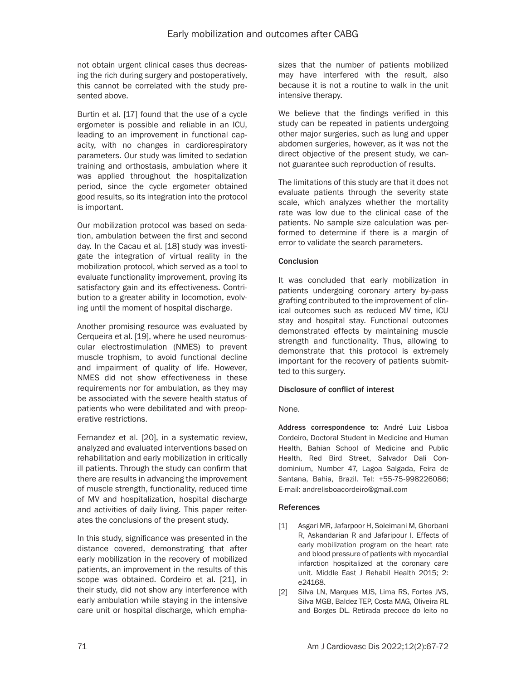not obtain urgent clinical cases thus decreasing the rich during surgery and postoperatively, this cannot be correlated with the study presented above.

Burtin et al. [17] found that the use of a cycle ergometer is possible and reliable in an ICU, leading to an improvement in functional capacity, with no changes in cardiorespiratory parameters. Our study was limited to sedation training and orthostasis, ambulation where it was applied throughout the hospitalization period, since the cycle ergometer obtained good results, so its integration into the protocol is important.

Our mobilization protocol was based on sedation, ambulation between the first and second day. In the Cacau et al. [18] study was investigate the integration of virtual reality in the mobilization protocol, which served as a tool to evaluate functionality improvement, proving its satisfactory gain and its effectiveness. Contribution to a greater ability in locomotion, evolving until the moment of hospital discharge.

Another promising resource was evaluated by Cerqueira et al. [19], where he used neuromuscular electrostimulation (NMES) to prevent muscle trophism, to avoid functional decline and impairment of quality of life. However, NMES did not show effectiveness in these requirements nor for ambulation, as they may be associated with the severe health status of patients who were debilitated and with preoperative restrictions.

Fernandez et al. [20], in a systematic review, analyzed and evaluated interventions based on rehabilitation and early mobilization in critically ill patients. Through the study can confirm that there are results in advancing the improvement of muscle strength, functionality, reduced time of MV and hospitalization, hospital discharge and activities of daily living. This paper reiterates the conclusions of the present study.

In this study, significance was presented in the distance covered, demonstrating that after early mobilization in the recovery of mobilized patients, an improvement in the results of this scope was obtained. Cordeiro et al. [21], in their study, did not show any interference with early ambulation while staying in the intensive care unit or hospital discharge, which emphasizes that the number of patients mobilized may have interfered with the result, also because it is not a routine to walk in the unit intensive therapy.

We believe that the findings verified in this study can be repeated in patients undergoing other major surgeries, such as lung and upper abdomen surgeries, however, as it was not the direct objective of the present study, we cannot guarantee such reproduction of results.

The limitations of this study are that it does not evaluate patients through the severity state scale, which analyzes whether the mortality rate was low due to the clinical case of the patients. No sample size calculation was performed to determine if there is a margin of error to validate the search parameters.

## **Conclusion**

It was concluded that early mobilization in patients undergoing coronary artery by-pass grafting contributed to the improvement of clinical outcomes such as reduced MV time, ICU stay and hospital stay. Functional outcomes demonstrated effects by maintaining muscle strength and functionality. Thus, allowing to demonstrate that this protocol is extremely important for the recovery of patients submitted to this surgery.

## Disclosure of conflict of interest

## None.

Address correspondence to: André Luiz Lisboa Cordeiro, Doctoral Student in Medicine and Human Health, Bahian School of Medicine and Public Health, Red Bird Street, Salvador Dali Condominium, Number 47, Lagoa Salgada, Feira de Santana, Bahia, Brazil. Tel: +55-75-998226086; E-mail: [andrelisboacordeiro@gmail.com](mailto:andrelisboacordeiro@gmail.com)

## References

- [1] Asgari MR, Jafarpoor H, Soleimani M, Ghorbani R, Askandarian R and Jafaripour I. Effects of early mobilization program on the heart rate and blood pressure of patients with myocardial infarction hospitalized at the coronary care unit. Middle East J Rehabil Health 2015; 2: e24168.
- [2] Silva LN, Marques MJS, Lima RS, Fortes JVS, Silva MGB, Baldez TEP, Costa MAG, Oliveira RL and Borges DL. Retirada precoce do leito no